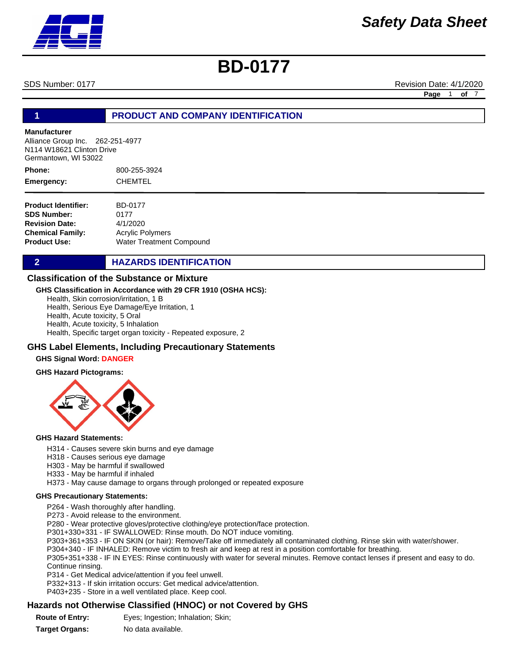SDS Number: 0177 **Revision Date: 4/1/2020** Revision Date: 4/1/2020

**Page** 1 **of** 7

### **1 PRODUCT AND COMPANY IDENTIFICATION**

#### **Manufacturer**

Alliance Group Inc. 262-251-4977 N114 W18621 Clinton Drive Germantown, WI 53022

800-255-3924 CHEMTEL **Phone: Emergency:**

**Product Identifier: SDS Number: Revision Date: Chemical Family: Product Use:** BD-0177 0177 4/1/2020 Acrylic Polymers Water Treatment Compound

**2 HAZARDS IDENTIFICATION** 

### **Classification of the Substance or Mixture**

### **GHS Classification in Accordance with 29 CFR 1910 (OSHA HCS):**

Health, Skin corrosion/irritation, 1 B

Health, Serious Eye Damage/Eye Irritation, 1

Health, Acute toxicity, 5 Oral

Health, Acute toxicity, 5 Inhalation Health, Specific target organ toxicity - Repeated exposure, 2

### **GHS Label Elements, Including Precautionary Statements**

#### **GHS Signal Word: DANGER**

#### **GHS Hazard Pictograms:**



#### **GHS Hazard Statements:**

- H314 Causes severe skin burns and eye damage
- H318 Causes serious eye damage
- H303 May be harmful if swallowed
- H333 May be harmful if inhaled

H373 - May cause damage to organs through prolonged or repeated exposure

### **GHS Precautionary Statements:**

P264 - Wash thoroughly after handling.

P273 - Avoid release to the environment.

P280 - Wear protective gloves/protective clothing/eye protection/face protection.

P301+330+331 - IF SWALLOWED: Rinse mouth. Do NOT induce vomiting.

P303+361+353 - IF ON SKIN (or hair): Remove/Take off immediately all contaminated clothing. Rinse skin with water/shower.

P304+340 - IF INHALED: Remove victim to fresh air and keep at rest in a position comfortable for breathing.

P305+351+338 - IF IN EYES: Rinse continuously with water for several minutes. Remove contact lenses if present and easy to do. Continue rinsing.

P314 - Get Medical advice/attention if you feel unwell.

P332+313 - If skin irritation occurs: Get medical advice/attention.

P403+235 - Store in a well ventilated place. Keep cool.

# **Hazards not Otherwise Classified (HNOC) or not Covered by GHS**

**Route of Entry:** Eyes; Ingestion; Inhalation; Skin;

**Target Organs:** No data available.

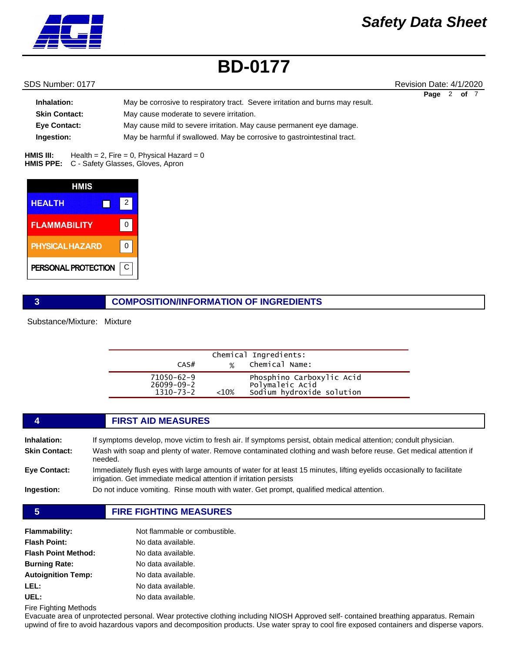

### SDS Number: 0177 **Revision Date: 4/1/2020** Revision Date: 4/1/2020

|                      |                                                                                | Page | 2 of 7 |  |
|----------------------|--------------------------------------------------------------------------------|------|--------|--|
| Inhalation:          | May be corrosive to respiratory tract. Severe irritation and burns may result. |      |        |  |
| <b>Skin Contact:</b> | May cause moderate to severe irritation.                                       |      |        |  |
| <b>Eve Contact:</b>  | May cause mild to severe irritation. May cause permanent eye damage.           |      |        |  |
| Ingestion:           | May be harmful if swallowed. May be corrosive to gastrointestinal tract.       |      |        |  |

Health =  $2$ , Fire = 0, Physical Hazard = 0 HMIS PPE: C - Safety Glasses, Gloves, Apron **HMIS III:** 

| <b>HMIS</b>            |   |
|------------------------|---|
| <b>HEALTH</b>          | 2 |
| <b>FLAMMABILITY</b>    | 0 |
| <b>PHYSICAL HAZARD</b> | 0 |
| PERSONAL PROTECTION    | С |

### **3 COMPOSITION/INFORMATION OF INGREDIENTS**

Substance/Mixture: Mixture

| CAS#                                              | $\frac{1}{2}$ | Chemical Ingredients:<br>Chemical Name:                                   |  |
|---------------------------------------------------|---------------|---------------------------------------------------------------------------|--|
| 71050-62-9<br>$26099 - 09 - 2$<br>$1310 - 73 - 2$ | $~10\%$       | Phosphino Carboxylic Acid<br>Polymaleic Acid<br>Sodium hydroxide solution |  |

# **4 FIRST AID MEASURES Inhalation:** If symptoms develop, move victim to fresh air. If symptoms persist, obtain medical attention; condult physician. **Skin Contact:** Wash with soap and plenty of water. Remove contaminated clothing and wash before reuse. Get medical attention if needed. **Eye Contact:** Immediately flush eyes with large amounts of water for at least 15 minutes, lifting eyelids occasionally to facilitate irrigation. Get immediate medical attention if irritation persists **Ingestion:** Do not induce vomiting. Rinse mouth with water. Get prompt, qualified medical attention. **5 FIRE FIGHTING MEASURES**

| <b>Flammability:</b>       | Not flammable or combustible. |
|----------------------------|-------------------------------|
| <b>Flash Point:</b>        | No data available.            |
| <b>Flash Point Method:</b> | No data available.            |
| <b>Burning Rate:</b>       | No data available.            |
| <b>Autoignition Temp:</b>  | No data available.            |
| LEL:                       | No data available.            |
| UEL:                       | No data available.            |

Fire Fighting Methods

Evacuate area of unprotected personal. Wear protective clothing including NIOSH Approved self- contained breathing apparatus. Remain upwind of fire to avoid hazardous vapors and decomposition products. Use water spray to cool fire exposed containers and disperse vapors.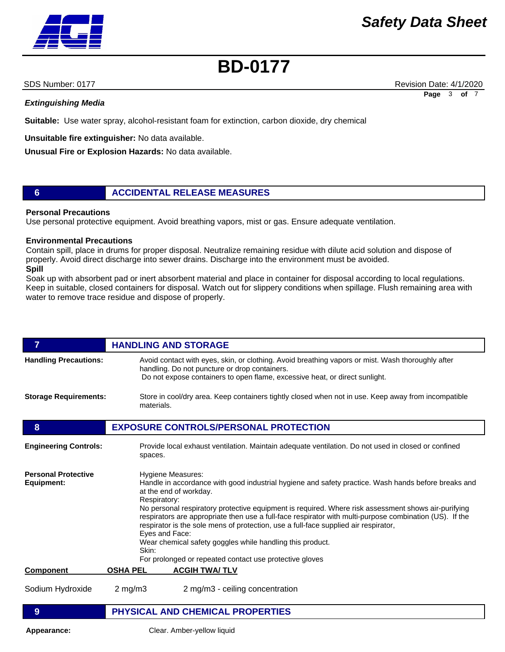### *Extinguishing Media*

**Suitable:** Use water spray, alcohol-resistant foam for extinction, carbon dioxide, dry chemical

**Unsuitable fire extinguisher:** No data available.

**Unusual Fire or Explosion Hazards:** No data available.

### **6 ACCIDENTAL RELEASE MEASURES**

### **Personal Precautions**

Use personal protective equipment. Avoid breathing vapors, mist or gas. Ensure adequate ventilation.

### **Environmental Precautions**

Contain spill, place in drums for proper disposal. Neutralize remaining residue with dilute acid solution and dispose of properly. Avoid direct discharge into sewer drains. Discharge into the environment must be avoided. **Spill** 

Soak up with absorbent pad or inert absorbent material and place in container for disposal according to local regulations. Keep in suitable, closed containers for disposal. Watch out for slippery conditions when spillage. Flush remaining area with water to remove trace residue and dispose of properly.

### *HANDLING AND STORAGE* **Handling Precautions:** Avoid contact with eyes, skin, or clothing. Avoid breathing vapors or mist. Wash thoroughly after handling. Do not puncture or drop containers. Do not expose containers to open flame, excessive heat, or direct sunlight. **Storage Requirements:** Store in cool/dry area. Keep containers tightly closed when not in use. Keep away from incompatible materials. **8 EXPOSURE CONTROLS/PERSONAL PROTECTION Component OSHA PEL ACGIH TWA/ TLV** Sodium Hydroxide 2 mg/m3 2 mg/m3 - ceiling concentration **Engineering Controls:** Provide local exhaust ventilation. Maintain adequate ventilation. Do not used in closed or confined spaces. **Personal Protective Equipment:** Hygiene Measures: Handle in accordance with good industrial hygiene and safety practice. Wash hands before breaks and at the end of workday. Respiratory: No personal respiratory protective equipment is required. Where risk assessment shows air-purifying respirators are appropriate then use a full-face respirator with multi-purpose combination (US). If the respirator is the sole mens of protection, use a full-face supplied air respirator, Eyes and Face: Wear chemical safety goggles while handling this product. Skin: For prolonged or repeated contact use protective gloves **9 PHYSICAL AND CHEMICAL PROPERTIES**

**Appearance:** Clear. Amber-yellow liquid



SDS Number: 0177 **Revision Date: 4/1/2020** Revision Date: 4/1/2020

**Page** 3 **of** 7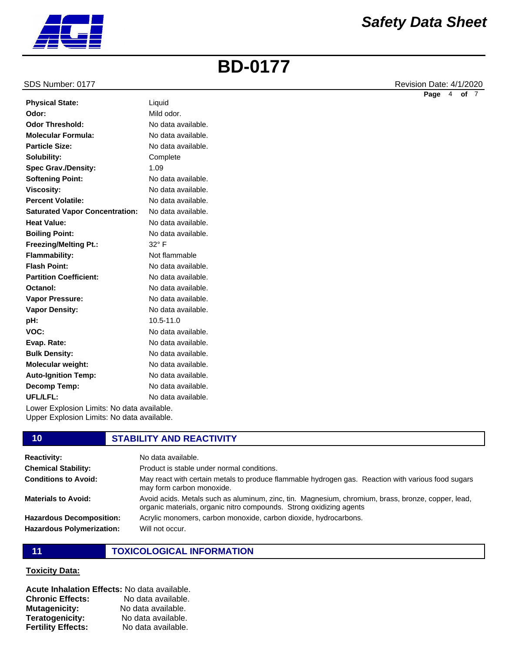#### SDS Number: 0177 **Revision Date: 4/1/2020** Revision Date: 4/1/2020

|                                       |                    | Page | 4 | of <sub>7</sub> |  |
|---------------------------------------|--------------------|------|---|-----------------|--|
| <b>Physical State:</b>                | Liquid             |      |   |                 |  |
| Odor:                                 | Mild odor.         |      |   |                 |  |
| <b>Odor Threshold:</b>                | No data available. |      |   |                 |  |
| <b>Molecular Formula:</b>             | No data available. |      |   |                 |  |
| <b>Particle Size:</b>                 | No data available. |      |   |                 |  |
| Solubility:                           | Complete           |      |   |                 |  |
| <b>Spec Grav./Density:</b>            | 1.09               |      |   |                 |  |
| <b>Softening Point:</b>               | No data available. |      |   |                 |  |
| <b>Viscosity:</b>                     | No data available. |      |   |                 |  |
| <b>Percent Volatile:</b>              | No data available. |      |   |                 |  |
| <b>Saturated Vapor Concentration:</b> | No data available. |      |   |                 |  |
| <b>Heat Value:</b>                    | No data available. |      |   |                 |  |
| <b>Boiling Point:</b>                 | No data available. |      |   |                 |  |
| <b>Freezing/Melting Pt.:</b>          | $32^{\circ}$ F     |      |   |                 |  |
| <b>Flammability:</b>                  | Not flammable      |      |   |                 |  |
| <b>Flash Point:</b>                   | No data available. |      |   |                 |  |
| <b>Partition Coefficient:</b>         | No data available. |      |   |                 |  |
| Octanol:                              | No data available. |      |   |                 |  |
| Vapor Pressure:                       | No data available. |      |   |                 |  |
| <b>Vapor Density:</b>                 | No data available. |      |   |                 |  |
| pH:                                   | 10.5-11.0          |      |   |                 |  |
| VOC:                                  | No data available. |      |   |                 |  |

Lower Explosion Limits: No data available. Upper Explosion Limits: No data available.

#### **10 STABILITY AND REACTIVITY Reactivity:** No data available. **Chemical Stability: Conditions to Avoid:** Product is stable under normal conditions. May react with certain metals to produce flammable hydrogen gas. Reaction with various food sugars may form carbon monoxide.

organic materials, organic nitro compounds. Strong oxidizing agents Acrylic monomers, carbon monoxide, carbon dioxide, hydrocarbons.

Avoid acids. Metals such as aluminum, zinc, tin. Magnesium, chromium, brass, bronze, copper, lead,

**Materials to Avoid:**

**Evap. Rate: Bulk Density: Molecular weight: Auto-Ignition Temp: Decomp Temp: UFL/LFL:**

**Hazardous Decomposition: Hazardous Polymerization:**

# **11 TOXICOLOGICAL INFORMATION**

Will not occur.

No data available. No data available. No data available. No data available. No data available. No data available.

### **Toxicity Data:**

**Acute Inhalation Effects:** No data available. **Chronic Effects:** No data available. **Mutagenicity:** No data available. **Teratogenicity:** No data available. **Fertility Effects:** No data available.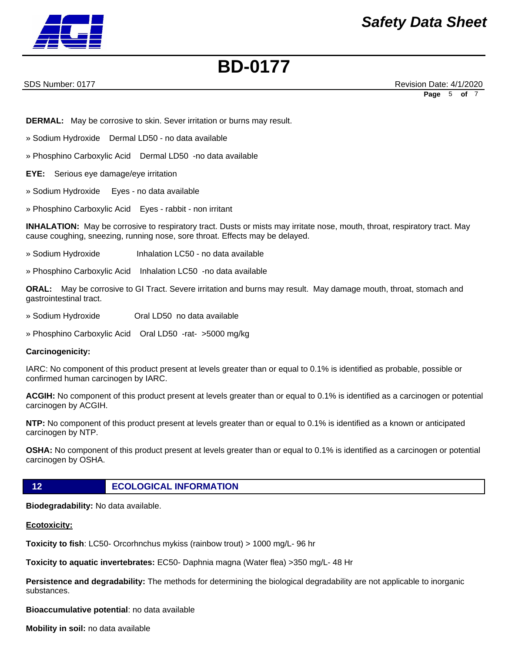

SDS Number: 0177 **Revision Date: 4/1/2020** Revision Date: 4/1/2020 **Page** 5 **of** 7

**DERMAL:** May be corrosive to skin. Sever irritation or burns may result.

» Sodium Hydroxide Dermal LD50 - no data available

» Phosphino Carboxylic Acid Dermal LD50 -no data available

**EYE:** Serious eye damage/eye irritation

» Sodium Hydroxide Eyes - no data available

» Phosphino Carboxylic Acid Eyes - rabbit - non irritant

**INHALATION:** May be corrosive to respiratory tract. Dusts or mists may irritate nose, mouth, throat, respiratory tract. May cause coughing, sneezing, running nose, sore throat. Effects may be delayed.

- » Sodium Hydroxide Inhalation LC50 no data available
- » Phosphino Carboxylic Acid Inhalation LC50 -no data available

**ORAL:** May be corrosive to GI Tract. Severe irritation and burns may result. May damage mouth, throat, stomach and gastrointestinal tract.

- » Sodium Hydroxide Oral LD50 no data available
- » Phosphino Carboxylic Acid Oral LD50 -rat- >5000 mg/kg

### **Carcinogenicity:**

IARC: No component of this product present at levels greater than or equal to 0.1% is identified as probable, possible or confirmed human carcinogen by IARC.

**ACGIH:** No component of this product present at levels greater than or equal to 0.1% is identified as a carcinogen or potential carcinogen by ACGIH.

**NTP:** No component of this product present at levels greater than or equal to 0.1% is identified as a known or anticipated carcinogen by NTP.

**OSHA:** No component of this product present at levels greater than or equal to 0.1% is identified as a carcinogen or potential carcinogen by OSHA.

**12 ECOLOGICAL INFORMATION** 

**Biodegradability:** No data available.

### **Ecotoxicity:**

**Toxicity to fish**: LC50- Orcorhnchus mykiss (rainbow trout) > 1000 mg/L- 96 hr

**Toxicity to aquatic invertebrates:** EC50- Daphnia magna (Water flea) >350 mg/L- 48 Hr

**Persistence and degradability:** The methods for determining the biological degradability are not applicable to inorganic substances.

**Bioaccumulative potential**: no data available

**Mobility in soil:** no data available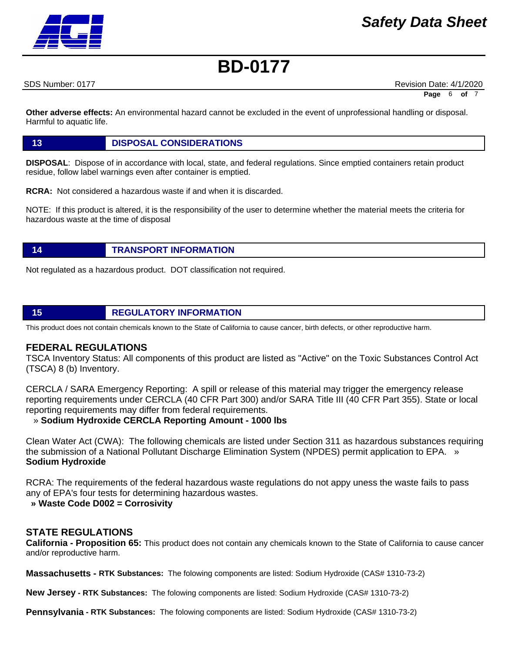SDS Number: 0177 **Revision Date: 4/1/2020** Revision Date: 4/1/2020

**Page** 6 **of** 7

**Other adverse effects:** An environmental hazard cannot be excluded in the event of unprofessional handling or disposal. Harmful to aquatic life.

### **13 DISPOSAL CONSIDERATIONS**

**DISPOSAL**: Dispose of in accordance with local, state, and federal regulations. Since emptied containers retain product residue, follow label warnings even after container is emptied.

**RCRA:** Not considered a hazardous waste if and when it is discarded.

NOTE: If this product is altered, it is the responsibility of the user to determine whether the material meets the criteria for hazardous waste at the time of disposal

### **14 TRANSPORT INFORMATION**

Not regulated as a hazardous product. DOT classification not required.

# **15 REGULATORY INFORMATION**

This product does not contain chemicals known to the State of California to cause cancer, birth defects, or other reproductive harm.

### **FEDERAL REGULATIONS**

TSCA Inventory Status: All components of this product are listed as "Active" on the Toxic Substances Control Act (TSCA) 8 (b) Inventory.

CERCLA / SARA Emergency Reporting: A spill or release of this material may trigger the emergency release reporting requirements under CERCLA (40 CFR Part 300) and/or SARA Title III (40 CFR Part 355). State or local reporting requirements may differ from federal requirements.

### » **Sodium Hydroxide CERCLA Reporting Amount - 1000 lbs**

Clean Water Act (CWA): The following chemicals are listed under Section 311 as hazardous substances requiring the submission of a National Pollutant Discharge Elimination System (NPDES) permit application to EPA. » **Sodium Hydroxide**

RCRA: The requirements of the federal hazardous waste regulations do not appy uness the waste fails to pass any of EPA's four tests for determining hazardous wastes.

### **» Waste Code D002 = Corrosivity**

## **STATE REGULATIONS**

**California - Proposition 65:** This product does not contain any chemicals known to the State of California to cause cancer and/or reproductive harm.

**Massachusetts - RTK Substances:** The folowing components are listed: Sodium Hydroxide (CAS# 1310-73-2)

**New Jersey - RTK Substances:** The folowing components are listed: Sodium Hydroxide (CAS# 1310-73-2)

**Pennsylvania - RTK Substances:** The folowing components are listed: Sodium Hydroxide (CAS# 1310-73-2)